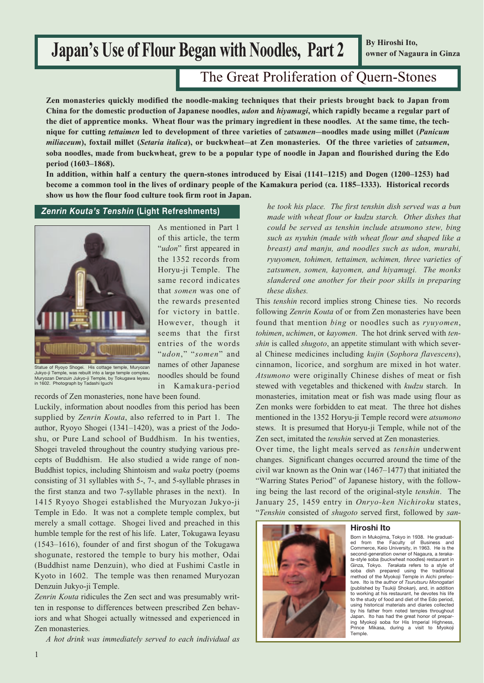# **Japan's Use of Flour Began with Noodles, Part 2**

**By Hiroshi Ito, owner of Nagaura in Ginza**

## The Great Proliferation of Quern-Stones

**Zen monasteries quickly modified the noodle-making techniques that their priests brought back to Japan from China for the domestic production of Japanese noodles,** *udon* **and** *hiyamugi***, which rapidly became a regular part of the diet of apprentice monks. Wheat flour was the primary ingredient in these noodles. At the same time, the technique for cutting** *tettaimen* **led to development of three varieties of** *zatsumen***–noodles made using millet (***Panicum miliaceum***), foxtail millet (***Setaria italica***), or buckwheat–at Zen monasteries. Of the three varieties of** *zatsumen***, soba noodles, made from buckwheat, grew to be a popular type of noodle in Japan and flourished during the Edo period (1603–1868).**

**In addition, within half a century the quern-stones introduced by Eisai (1141–1215) and Dogen (1200–1253) had become a common tool in the lives of ordinary people of the Kamakura period (ca. 1185–1333). Historical records show us how the flour food culture took firm root in Japan.**



As mentioned in Part 1 of this article, the term "*udon*" first appeared in the 1352 records from Horyu-ji Temple. The same record indicates that *somen* was one of the rewards presented for victory in battle. However, though it seems that the first entries of the words "*udon*," "*somen*" and names of other Japanese noodles should be found in Kamakura-period

Statue of Ryoyo Shogei. His cottage temple, Muryozan Jukyo-ji Temple, was rebuilt into a large temple complex, Muryozan Denzuin Jukyo-ji Temple, by Tokugawa Ieyasu in 1602. Photograph by Tadashi Iguchi

records of Zen monasteries, none have been found.

Luckily, information about noodles from this period has been supplied by *Zenrin Kouta*, also referred to in Part 1. The author, Ryoyo Shogei (1341–1420), was a priest of the Jodoshu, or Pure Land school of Buddhism. In his twenties, Shogei traveled throughout the country studying various precepts of Buddhism. He also studied a wide range of non-Buddhist topics, including Shintoism and *waka* poetry (poems consisting of 31 syllables with 5-, 7-, and 5-syllable phrases in the first stanza and two 7-syllable phrases in the next). In 1415 Ryoyo Shogei established the Muryozan Jukyo-ji Temple in Edo. It was not a complete temple complex, but merely a small cottage. Shogei lived and preached in this humble temple for the rest of his life. Later, Tokugawa Ieyasu (1543–1616), founder of and first shogun of the Tokugawa shogunate, restored the temple to bury his mother, Odai (Buddhist name Denzuin), who died at Fushimi Castle in Kyoto in 1602. The temple was then renamed Muryozan Denzuin Jukyo-ji Temple.

*Zenrin Kouta* ridicules the Zen sect and was presumably written in response to differences between prescribed Zen behaviors and what Shogei actually witnessed and experienced in Zen monasteries.

*A hot drink was immediately served to each individual as*

*Zenrin Kouta's Tenshin* **(Light Refreshments)** *he took his place. The first tenshin dish served was a bun made with wheat flour or kudzu starch. Other dishes that could be served as tenshin include atsumono stew, bing such as nyuhin (made with wheat flour and shaped like a breast) and manju, and noodles such as udon, murahi, ryuyomen, tohimen, tettaimen, uchimen, three varieties of zatsumen, somen, kayomen, and hiyamugi. The monks slandered one another for their poor skills in preparing these dishes.*

> This *tenshin* record implies strong Chinese ties. No records following *Zenrin Kouta* of or from Zen monasteries have been found that mention *bing* or noodles such as *ryuyomen*, *tohimen*, *uchimen*, or *kayomen*. The hot drink served with *tenshin* is called *shugoto*, an appetite stimulant with which several Chinese medicines including *kujin* (*Sophora flavescens*), cinnamon, licorice, and sorghum are mixed in hot water. *Atsumono* were originally Chinese dishes of meat or fish stewed with vegetables and thickened with *kudzu* starch. In monasteries, imitation meat or fish was made using flour as Zen monks were forbidden to eat meat. The three hot dishes mentioned in the 1352 Horyu-ji Temple record were *atsumono* stews. It is presumed that Horyu-ji Temple, while not of the Zen sect, imitated the *tenshin* served at Zen monasteries.

> Over time, the light meals served as *tenshin* underwent changes. Significant changes occurred around the time of the civil war known as the Onin war (1467–1477) that initiated the "Warring States Period" of Japanese history, with the following being the last record of the original-style *tenshin*. The January 25, 1459 entry in *Onryo-ken Nichiroku* states, "*Tenshin* consisted of *shugoto* served first, followed by *san-*



#### **Hiroshi Ito**

Born in Mukojima, Tokyo in 1938. He graduat-ed from the Faculty of Business and Commerce, Keio University, in 1963. He is the second-generation owner of Nagaura, a *terakata*-style soba (buckwheat noodles) restaurant in Ginza, Tokyo. *Terakata* refers to a style of soba dish prepared using the traditional method of the Myokoji Temple in Aichi prefecture. Ito is the author of *Tsurutsuru Monogatari* (published by Tsukiji Shokan), and, in addition to working at his restaurant, he devotes his life to the study of food and diet of the Edo period, using historical materials and diaries collected by his father from noted temples throughout Japan. Ito has had the great honor of preparing Myokoji soba for His Imperial Highness, Mikasa, during a visit to Myokoji Temple.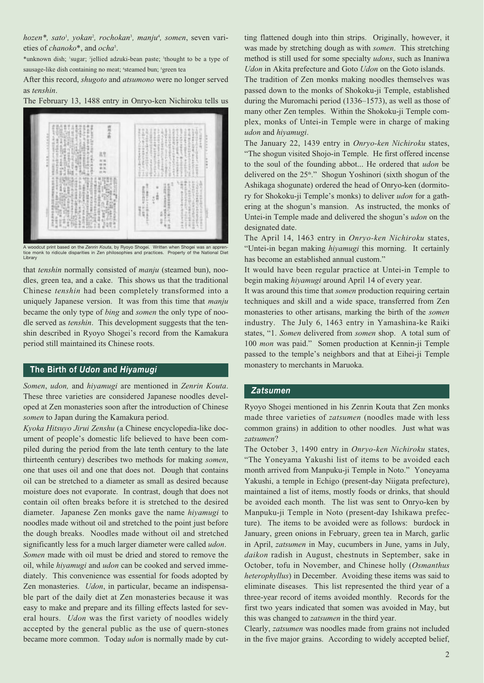*hozen\*, sato*<sup>1</sup> *, yokan*<sup>2</sup> *, rochokan*<sup>3</sup> *, manju*<sup>4</sup> *, somen*, seven varieties of *chanoko*\*, and *ocha*<sup>5</sup> .

\*unknown dish; 1 sugar; 2 jellied adzuki-bean paste; 3 thought to be a type of sausage-like dish containing no meat; 'steamed bun; 'green tea

After this record, *shugoto* and *atsumono* were no longer served as *tenshin*.

The February 13, 1488 entry in Onryo-ken Nichiroku tells us



A woodcut print based on the *Zenrin Kouta*, by Ryoyo Shogei. Written when Shogei was an appren-<br>tice monk to ridicule disparities in Zen philosophies and practices. Property of the National Diet<br>Library

that *tenshin* normally consisted of *manju* (steamed bun), noodles, green tea, and a cake. This shows us that the traditional Chinese *tenshin* had been completely transformed into a uniquely Japanese version. It was from this time that *manju* became the only type of *bing* and *somen* the only type of noodle served as *tenshin*. This development suggests that the tenshin described in Ryoyo Shogei's record from the Kamakura period still maintained its Chinese roots.

#### **The Birth of** *Udon* **and** *Hiyamugi*

*Somen*, *udon,* and *hiyamugi* are mentioned in *Zenrin Kouta*. These three varieties are considered Japanese noodles developed at Zen monasteries soon after the introduction of Chinese *somen* to Japan during the Kamakura period.

*Kyoka Hitsuyo Jirui Zenshu* (a Chinese encyclopedia-like document of people's domestic life believed to have been compiled during the period from the late tenth century to the late thirteenth century) describes two methods for making *somen*, one that uses oil and one that does not. Dough that contains oil can be stretched to a diameter as small as desired because moisture does not evaporate. In contrast, dough that does not contain oil often breaks before it is stretched to the desired diameter. Japanese Zen monks gave the name *hiyamugi* to noodles made without oil and stretched to the point just before the dough breaks. Noodles made without oil and stretched significantly less for a much larger diameter were called *udon*. *Somen* made with oil must be dried and stored to remove the oil, while *hiyamugi* and *udon* can be cooked and served immediately. This convenience was essential for foods adopted by

Zen monasteries. *Udon*, in particular, became an indispensable part of the daily diet at Zen monasteries because it was easy to make and prepare and its filling effects lasted for several hours. *Udon* was the first variety of noodles widely accepted by the general public as the use of quern-stones became more common. Today *udon* is normally made by cutting flattened dough into thin strips. Originally, however, it was made by stretching dough as with *somen*. This stretching method is still used for some specialty *udons*, such as Inaniwa *Udon* in Akita prefecture and Goto *Udon* on the Goto islands.

The tradition of Zen monks making noodles themselves was passed down to the monks of Shokoku-ji Temple, established during the Muromachi period (1336–1573), as well as those of many other Zen temples. Within the Shokoku-ji Temple complex, monks of Untei-in Temple were in charge of making *udon* and *hiyamugi*.

The January 22, 1439 entry in *Onryo-ken Nichiroku* states, "The shogun visited Shojo-in Temple. He first offered incense to the soul of the founding abbot... He ordered that *udon* be delivered on the  $25<sup>th</sup>$ ." Shogun Yoshinori (sixth shogun of the Ashikaga shogunate) ordered the head of Onryo-ken (dormitory for Shokoku-ji Temple's monks) to deliver *udon* for a gathering at the shogun's mansion. As instructed, the monks of Untei-in Temple made and delivered the shogun's *udon* on the designated date.

The April 14, 1463 entry in *Onryo-ken Nichiroku* states, "Untei-in began making *hiyamugi* this morning. It certainly has become an established annual custom."

It would have been regular practice at Untei-in Temple to begin making *hiyamugi* around April 14 of every year.

It was around this time that *somen* production requiring certain techniques and skill and a wide space, transferred from Zen monasteries to other artisans, marking the birth of the *somen* industry. The July 6, 1463 entry in Yamashina-ke Raiki states, "1. *Somen* delivered from *somen* shop. A total sum of 100 *mon* was paid." Somen production at Kennin-ji Temple passed to the temple's neighbors and that at Eihei-ji Temple monastery to merchants in Maruoka.

#### *Zatsumen*

Ryoyo Shogei mentioned in his Zenrin Kouta that Zen monks made three varieties of *zatsumen* (noodles made with less common grains) in addition to other noodles. Just what was *zatsumen*?

The October 3, 1490 entry in *Onryo-ken Nichiroku* states, "The Yoneyama Yakushi list of items to be avoided each month arrived from Manpuku-ji Temple in Noto." Yoneyama Yakushi, a temple in Echigo (present-day Niigata prefecture), maintained a list of items, mostly foods or drinks, that should be avoided each month. The list was sent to Onryo-ken by Manpuku-ji Temple in Noto (present-day Ishikawa prefecture). The items to be avoided were as follows: burdock in January, green onions in February, green tea in March, garlic in April, *zatsumen* in May, cucumbers in June, yams in July, *daikon* radish in August, chestnuts in September, sake in October, tofu in November, and Chinese holly (*Osmanthus heterophyllus*) in December. Avoiding these items was said to eliminate diseases. This list represented the third year of a three-year record of items avoided monthly. Records for the first two years indicated that somen was avoided in May, but this was changed to *zatsumen* in the third year.

Clearly, *zatsumen* was noodles made from grains not included in the five major grains. According to widely accepted belief,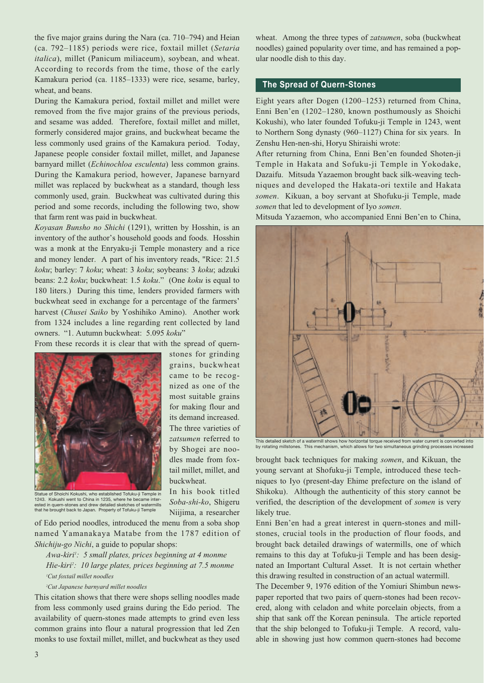the five major grains during the Nara (ca. 710–794) and Heian (ca. 792–1185) periods were rice, foxtail millet (*Setaria italica*), millet (Panicum miliaceum), soybean, and wheat. According to records from the time, those of the early Kamakura period (ca. 1185–1333) were rice, sesame, barley, wheat, and beans.

During the Kamakura period, foxtail millet and millet were removed from the five major grains of the previous periods, and sesame was added. Therefore, foxtail millet and millet, formerly considered major grains, and buckwheat became the less commonly used grains of the Kamakura period. Today, Japanese people consider foxtail millet, millet, and Japanese barnyard millet (*Echinochloa esculenta*) less common grains. During the Kamakura period, however, Japanese barnyard millet was replaced by buckwheat as a standard, though less commonly used, grain. Buckwheat was cultivated during this period and some records, including the following two, show that farm rent was paid in buckwheat.

*Koyasan Bunsho no Shichi* (1291), written by Hosshin, is an inventory of the author's household goods and foods. Hosshin was a monk at the Enryaku-ji Temple monastery and a rice and money lender. A part of his inventory reads, "Rice: 21.5 *koku*; barley: 7 *koku*; wheat: 3 *koku*; soybeans: 3 *koku*; adzuki beans: 2.2 *koku*; buckwheat: 1.5 *koku*." (One *koku* is equal to 180 liters.) During this time, lenders provided farmers with buckwheat seed in exchange for a percentage of the farmers' harvest (*Chusei Saiko* by Yoshihiko Amino). Another work from 1324 includes a line regarding rent collected by land owners. "1. Autumn buckwheat: 5.095 *koku*"

From these records it is clear that with the spread of quern-

stones for grinding grains, buckwheat came to be recognized as one of the most suitable grains for making flour and its demand increased. The three varieties of *zatsumen* referred to by Shogei are noodles made from foxtail millet, millet, and

buckwheat.

In his book titled *Soba-shi-ko*, Shigeru Niijima, a researcher



Statue of Shoichi Kokushi, who established Tofuku-ji Temple in 1243. Kokushi went to China in 1235, where he became interested in quern-stones and drew detailed sketches of watermills that he brought back to Japan. Property of Tofuku-ji Temple

of Edo period noodles, introduced the menu from a soba shop named Yamanakaya Matabe from the 1787 edition of *Shichiju-go Nichi*, a guide to popular shops:

*Awa-kiri1 : 5 small plates, prices beginning at 4 monme Hie-kiri2 : 10 large plates, prices beginning at 7.5 monme 1 Cut foxtail millet noodles*

*2 Cut Japanese barnyard millet noodles*

This citation shows that there were shops selling noodles made from less commonly used grains during the Edo period. The availability of quern-stones made attempts to grind even less common grains into flour a natural progression that led Zen monks to use foxtail millet, millet, and buckwheat as they used wheat. Among the three types of *zatsumen*, soba (buckwheat noodles) gained popularity over time, and has remained a popular noodle dish to this day.

### **The Spread of Quern-Stones**

Eight years after Dogen (1200–1253) returned from China, Enni Ben'en (1202–1280, known posthumously as Shoichi Kokushi), who later founded Tofuku-ji Temple in 1243, went to Northern Song dynasty (960–1127) China for six years. In Zenshu Hen-nen-shi, Horyu Shiraishi wrote:

After returning from China, Enni Ben'en founded Shoten-ji Temple in Hakata and Sofuku-ji Temple in Yokodake, Dazaifu. Mitsuda Yazaemon brought back silk-weaving techniques and developed the Hakata-ori textile and Hakata *somen*. Kikuan, a boy servant at Shofuku-ji Temple, made *somen* that led to development of Iyo *somen*.

Mitsuda Yazaemon, who accompanied Enni Ben'en to China,



This detailed sketch of a watermill shows how horizontal torque received from water current is converted into<br>by rotating millstones. This mechanism, which allows for two simultaneous grinding processes increased

brought back techniques for making *somen*, and Kikuan, the young servant at Shofuku-ji Temple, introduced these techniques to Iyo (present-day Ehime prefecture on the island of Shikoku). Although the authenticity of this story cannot be verified, the description of the development of *somen* is very likely true.

Enni Ben'en had a great interest in quern-stones and millstones, crucial tools in the production of flour foods, and brought back detailed drawings of watermills, one of which remains to this day at Tofuku-ji Temple and has been designated an Important Cultural Asset. It is not certain whether this drawing resulted in construction of an actual watermill.

The December 9, 1976 edition of the Yomiuri Shimbun newspaper reported that two pairs of quern-stones had been recovered, along with celadon and white porcelain objects, from a ship that sank off the Korean peninsula. The article reported that the ship belonged to Tofuku-ji Temple. A record, valuable in showing just how common quern-stones had become